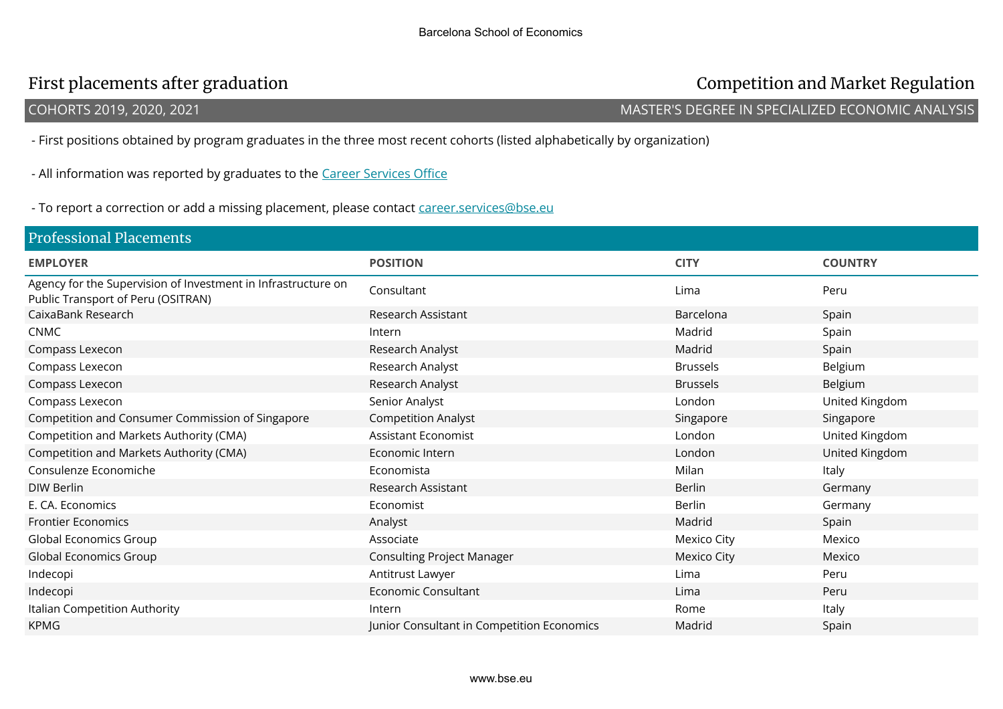## First placements after graduation Competition and Market Regulation

COHORTS 2019, 2020, 2021 MASTER'S DEGREE IN SPECIALIZED ECONOMIC ANALYSIS

- First positions obtained by program graduates in the three most recent cohorts (listed alphabetically by organization)

- All information was reported by graduates to the Career Services Office

- To report a correction or add a missing placement, please contact career.services@bse.eu

| <b>Professional Placements</b>                                                                      |                                            |                    |                |
|-----------------------------------------------------------------------------------------------------|--------------------------------------------|--------------------|----------------|
| <b>EMPLOYER</b>                                                                                     | <b>POSITION</b>                            | <b>CITY</b>        | <b>COUNTRY</b> |
| Agency for the Supervision of Investment in Infrastructure on<br>Public Transport of Peru (OSITRAN) | Consultant                                 | Lima               | Peru           |
| CaixaBank Research                                                                                  | Research Assistant                         | Barcelona          | Spain          |
| <b>CNMC</b>                                                                                         | Intern                                     | Madrid             | Spain          |
| Compass Lexecon                                                                                     | Research Analyst                           | Madrid             | Spain          |
| Compass Lexecon                                                                                     | Research Analyst                           | <b>Brussels</b>    | Belgium        |
| Compass Lexecon                                                                                     | Research Analyst                           | <b>Brussels</b>    | Belgium        |
| Compass Lexecon                                                                                     | Senior Analyst                             | London             | United Kingdom |
| Competition and Consumer Commission of Singapore                                                    | <b>Competition Analyst</b>                 | Singapore          | Singapore      |
| Competition and Markets Authority (CMA)                                                             | <b>Assistant Economist</b>                 | London             | United Kingdom |
| Competition and Markets Authority (CMA)                                                             | Economic Intern                            | London             | United Kingdom |
| Consulenze Economiche                                                                               | Economista                                 | Milan              | Italy          |
| <b>DIW Berlin</b>                                                                                   | Research Assistant                         | <b>Berlin</b>      | Germany        |
| E. CA. Economics                                                                                    | Economist                                  | <b>Berlin</b>      | Germany        |
| <b>Frontier Economics</b>                                                                           | Analyst                                    | Madrid             | Spain          |
| Global Economics Group                                                                              | Associate                                  | <b>Mexico City</b> | Mexico         |
| <b>Global Economics Group</b>                                                                       | <b>Consulting Project Manager</b>          | <b>Mexico City</b> | Mexico         |
| Indecopi                                                                                            | Antitrust Lawyer                           | Lima               | Peru           |
| Indecopi                                                                                            | Economic Consultant                        | Lima               | Peru           |
| Italian Competition Authority                                                                       | Intern                                     | Rome               | Italy          |
| <b>KPMG</b>                                                                                         | Junior Consultant in Competition Economics | Madrid             | Spain          |